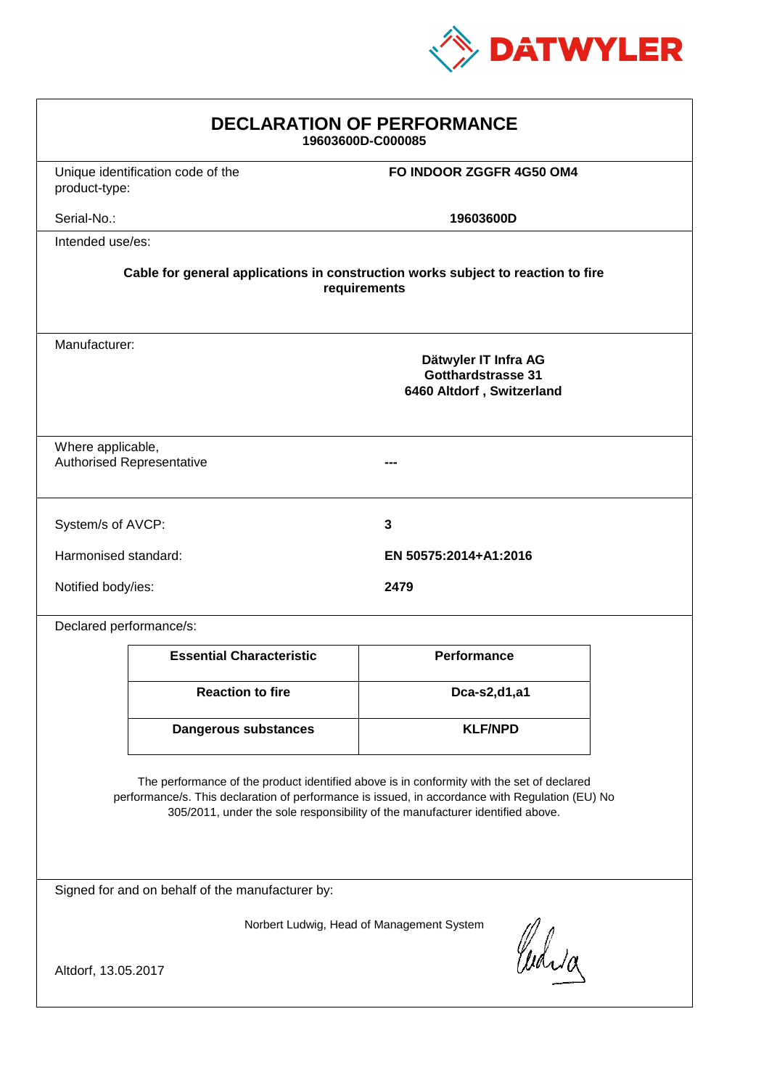

| <b>DECLARATION OF PERFORMANCE</b><br>19603600D-C000085                                                                                                                                                                                                                        |                                   |                          |  |  |
|-------------------------------------------------------------------------------------------------------------------------------------------------------------------------------------------------------------------------------------------------------------------------------|-----------------------------------|--------------------------|--|--|
| product-type:                                                                                                                                                                                                                                                                 | Unique identification code of the | FO INDOOR ZGGFR 4G50 OM4 |  |  |
| Serial-No.:                                                                                                                                                                                                                                                                   |                                   | 19603600D                |  |  |
| Intended use/es:                                                                                                                                                                                                                                                              |                                   |                          |  |  |
| Cable for general applications in construction works subject to reaction to fire<br>requirements                                                                                                                                                                              |                                   |                          |  |  |
| Manufacturer:<br>Dätwyler IT Infra AG<br><b>Gotthardstrasse 31</b><br>6460 Altdorf, Switzerland                                                                                                                                                                               |                                   |                          |  |  |
| Where applicable,                                                                                                                                                                                                                                                             | <b>Authorised Representative</b>  |                          |  |  |
| 3<br>System/s of AVCP:                                                                                                                                                                                                                                                        |                                   |                          |  |  |
| Harmonised standard:                                                                                                                                                                                                                                                          |                                   | EN 50575:2014+A1:2016    |  |  |
| Notified body/ies:                                                                                                                                                                                                                                                            |                                   | 2479                     |  |  |
| Declared performance/s:                                                                                                                                                                                                                                                       |                                   |                          |  |  |
|                                                                                                                                                                                                                                                                               | <b>Essential Characteristic</b>   | Performance              |  |  |
|                                                                                                                                                                                                                                                                               | <b>Reaction to fire</b>           | Dca-s2,d1,a1             |  |  |
|                                                                                                                                                                                                                                                                               | <b>Dangerous substances</b>       | <b>KLF/NPD</b>           |  |  |
| The performance of the product identified above is in conformity with the set of declared<br>performance/s. This declaration of performance is issued, in accordance with Regulation (EU) No<br>305/2011, under the sole responsibility of the manufacturer identified above. |                                   |                          |  |  |
| Signed for and on behalf of the manufacturer by:                                                                                                                                                                                                                              |                                   |                          |  |  |
| Norbert Ludwig, Head of Management System<br>Curia                                                                                                                                                                                                                            |                                   |                          |  |  |
| Altdorf, 13.05.2017                                                                                                                                                                                                                                                           |                                   |                          |  |  |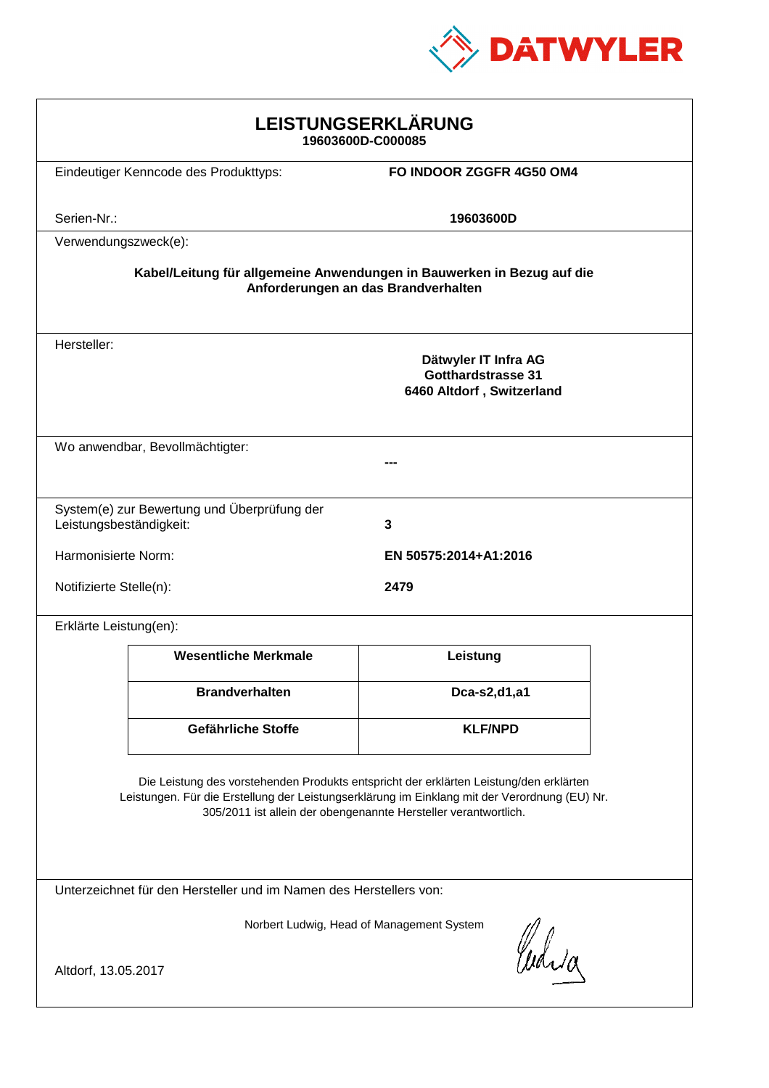

| LEISTUNGSERKLÄRUNG<br>19603600D-C000085                                                                                                                                                                                                                    |                                             |                                                                                |  |  |
|------------------------------------------------------------------------------------------------------------------------------------------------------------------------------------------------------------------------------------------------------------|---------------------------------------------|--------------------------------------------------------------------------------|--|--|
|                                                                                                                                                                                                                                                            | Eindeutiger Kenncode des Produkttyps:       | FO INDOOR ZGGFR 4G50 OM4                                                       |  |  |
|                                                                                                                                                                                                                                                            |                                             |                                                                                |  |  |
| Serien-Nr.:                                                                                                                                                                                                                                                |                                             | 19603600D                                                                      |  |  |
| Verwendungszweck(e):                                                                                                                                                                                                                                       |                                             |                                                                                |  |  |
| Kabel/Leitung für allgemeine Anwendungen in Bauwerken in Bezug auf die<br>Anforderungen an das Brandverhalten                                                                                                                                              |                                             |                                                                                |  |  |
| Hersteller:                                                                                                                                                                                                                                                |                                             | Dätwyler IT Infra AG<br><b>Gotthardstrasse 31</b><br>6460 Altdorf, Switzerland |  |  |
|                                                                                                                                                                                                                                                            | Wo anwendbar, Bevollmächtigter:             |                                                                                |  |  |
|                                                                                                                                                                                                                                                            |                                             |                                                                                |  |  |
|                                                                                                                                                                                                                                                            |                                             |                                                                                |  |  |
| Leistungsbeständigkeit:                                                                                                                                                                                                                                    | System(e) zur Bewertung und Überprüfung der | 3                                                                              |  |  |
| Harmonisierte Norm:                                                                                                                                                                                                                                        |                                             | EN 50575:2014+A1:2016                                                          |  |  |
| Notifizierte Stelle(n):                                                                                                                                                                                                                                    |                                             | 2479                                                                           |  |  |
| Erklärte Leistung(en):                                                                                                                                                                                                                                     |                                             |                                                                                |  |  |
|                                                                                                                                                                                                                                                            | <b>Wesentliche Merkmale</b>                 | Leistung                                                                       |  |  |
|                                                                                                                                                                                                                                                            | <b>Brandverhalten</b>                       | Dca-s2,d1,a1                                                                   |  |  |
|                                                                                                                                                                                                                                                            | Gefährliche Stoffe                          | <b>KLF/NPD</b>                                                                 |  |  |
| Die Leistung des vorstehenden Produkts entspricht der erklärten Leistung/den erklärten<br>Leistungen. Für die Erstellung der Leistungserklärung im Einklang mit der Verordnung (EU) Nr.<br>305/2011 ist allein der obengenannte Hersteller verantwortlich. |                                             |                                                                                |  |  |
| Unterzeichnet für den Hersteller und im Namen des Herstellers von:                                                                                                                                                                                         |                                             |                                                                                |  |  |
| Norbert Ludwig, Head of Management System<br>Curia<br>Altdorf, 13.05.2017                                                                                                                                                                                  |                                             |                                                                                |  |  |
|                                                                                                                                                                                                                                                            |                                             |                                                                                |  |  |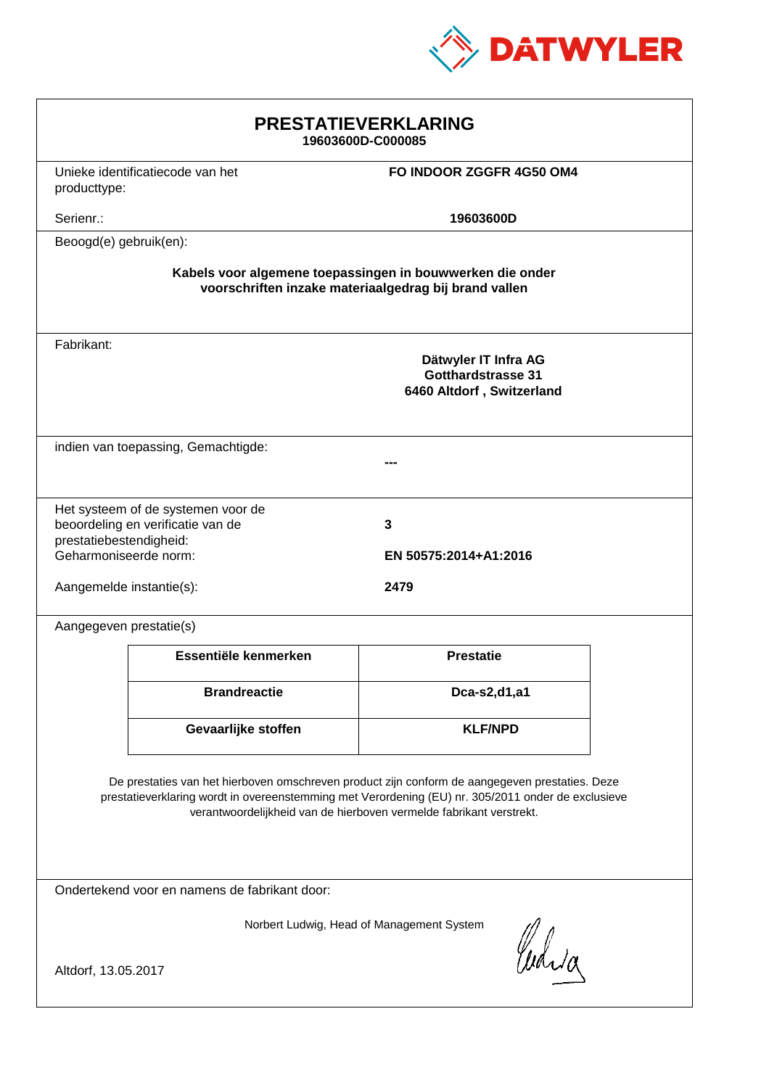

| <b>PRESTATIEVERKLARING</b><br>19603600D-C000085                                                                                                                                                                                                                             |                                     |                                                                         |  |  |
|-----------------------------------------------------------------------------------------------------------------------------------------------------------------------------------------------------------------------------------------------------------------------------|-------------------------------------|-------------------------------------------------------------------------|--|--|
| producttype:                                                                                                                                                                                                                                                                | Unieke identificatiecode van het    | FO INDOOR ZGGFR 4G50 OM4                                                |  |  |
| Serienr.:                                                                                                                                                                                                                                                                   |                                     | 19603600D                                                               |  |  |
| Beoogd(e) gebruik(en):                                                                                                                                                                                                                                                      |                                     |                                                                         |  |  |
| Kabels voor algemene toepassingen in bouwwerken die onder<br>voorschriften inzake materiaalgedrag bij brand vallen                                                                                                                                                          |                                     |                                                                         |  |  |
| Fabrikant:                                                                                                                                                                                                                                                                  |                                     | Dätwyler IT Infra AG<br>Gotthardstrasse 31<br>6460 Altdorf, Switzerland |  |  |
|                                                                                                                                                                                                                                                                             | indien van toepassing, Gemachtigde: |                                                                         |  |  |
| Het systeem of de systemen voor de<br>beoordeling en verificatie van de<br>prestatiebestendigheid:<br>Geharmoniseerde norm:                                                                                                                                                 |                                     | 3<br>EN 50575:2014+A1:2016                                              |  |  |
| 2479<br>Aangemelde instantie(s):                                                                                                                                                                                                                                            |                                     |                                                                         |  |  |
| Aangegeven prestatie(s)                                                                                                                                                                                                                                                     |                                     |                                                                         |  |  |
|                                                                                                                                                                                                                                                                             | Essentiële kenmerken                | <b>Prestatie</b>                                                        |  |  |
|                                                                                                                                                                                                                                                                             | <b>Brandreactie</b>                 | Dca-s2,d1,a1                                                            |  |  |
|                                                                                                                                                                                                                                                                             | Gevaarlijke stoffen                 | <b>KLF/NPD</b>                                                          |  |  |
| De prestaties van het hierboven omschreven product zijn conform de aangegeven prestaties. Deze<br>prestatieverklaring wordt in overeenstemming met Verordening (EU) nr. 305/2011 onder de exclusieve<br>verantwoordelijkheid van de hierboven vermelde fabrikant verstrekt. |                                     |                                                                         |  |  |
| Ondertekend voor en namens de fabrikant door:                                                                                                                                                                                                                               |                                     |                                                                         |  |  |
| Norbert Ludwig, Head of Management System<br>Curia<br>Altdorf, 13.05.2017                                                                                                                                                                                                   |                                     |                                                                         |  |  |
|                                                                                                                                                                                                                                                                             |                                     |                                                                         |  |  |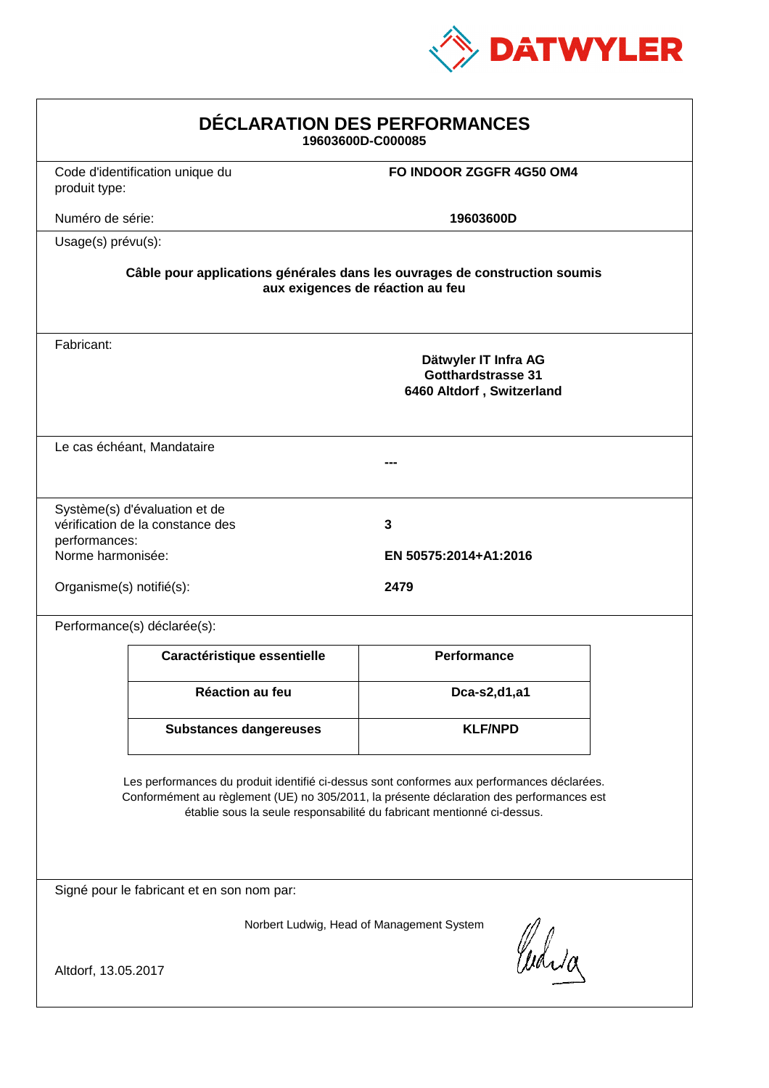

| DÉCLARATION DES PERFORMANCES<br>19603600D-C000085                                                                                                                                                                                                                |                                                                                                                |                                                                                |  |  |  |
|------------------------------------------------------------------------------------------------------------------------------------------------------------------------------------------------------------------------------------------------------------------|----------------------------------------------------------------------------------------------------------------|--------------------------------------------------------------------------------|--|--|--|
| produit type:                                                                                                                                                                                                                                                    | Code d'identification unique du                                                                                | FO INDOOR ZGGFR 4G50 OM4                                                       |  |  |  |
| Numéro de série:                                                                                                                                                                                                                                                 |                                                                                                                | 19603600D                                                                      |  |  |  |
|                                                                                                                                                                                                                                                                  | Usage(s) prévu(s):                                                                                             |                                                                                |  |  |  |
|                                                                                                                                                                                                                                                                  | Câble pour applications générales dans les ouvrages de construction soumis<br>aux exigences de réaction au feu |                                                                                |  |  |  |
| Fabricant:                                                                                                                                                                                                                                                       |                                                                                                                | Dätwyler IT Infra AG<br><b>Gotthardstrasse 31</b><br>6460 Altdorf, Switzerland |  |  |  |
|                                                                                                                                                                                                                                                                  | Le cas échéant, Mandataire                                                                                     |                                                                                |  |  |  |
| performances:<br>Norme harmonisée:                                                                                                                                                                                                                               | Système(s) d'évaluation et de<br>vérification de la constance des                                              | 3<br>EN 50575:2014+A1:2016                                                     |  |  |  |
| Organisme(s) notifié(s):                                                                                                                                                                                                                                         |                                                                                                                | 2479                                                                           |  |  |  |
|                                                                                                                                                                                                                                                                  | Performance(s) déclarée(s):                                                                                    |                                                                                |  |  |  |
|                                                                                                                                                                                                                                                                  | Caractéristique essentielle                                                                                    | Performance                                                                    |  |  |  |
|                                                                                                                                                                                                                                                                  | Réaction au feu                                                                                                | Dca-s2,d1,a1                                                                   |  |  |  |
|                                                                                                                                                                                                                                                                  | <b>Substances dangereuses</b>                                                                                  | <b>KLF/NPD</b>                                                                 |  |  |  |
| Les performances du produit identifié ci-dessus sont conformes aux performances déclarées.<br>Conformément au règlement (UE) no 305/2011, la présente déclaration des performances est<br>établie sous la seule responsabilité du fabricant mentionné ci-dessus. |                                                                                                                |                                                                                |  |  |  |
| Signé pour le fabricant et en son nom par:                                                                                                                                                                                                                       |                                                                                                                |                                                                                |  |  |  |
| Norbert Ludwig, Head of Management System<br>Which                                                                                                                                                                                                               |                                                                                                                |                                                                                |  |  |  |
| Altdorf, 13.05.2017                                                                                                                                                                                                                                              |                                                                                                                |                                                                                |  |  |  |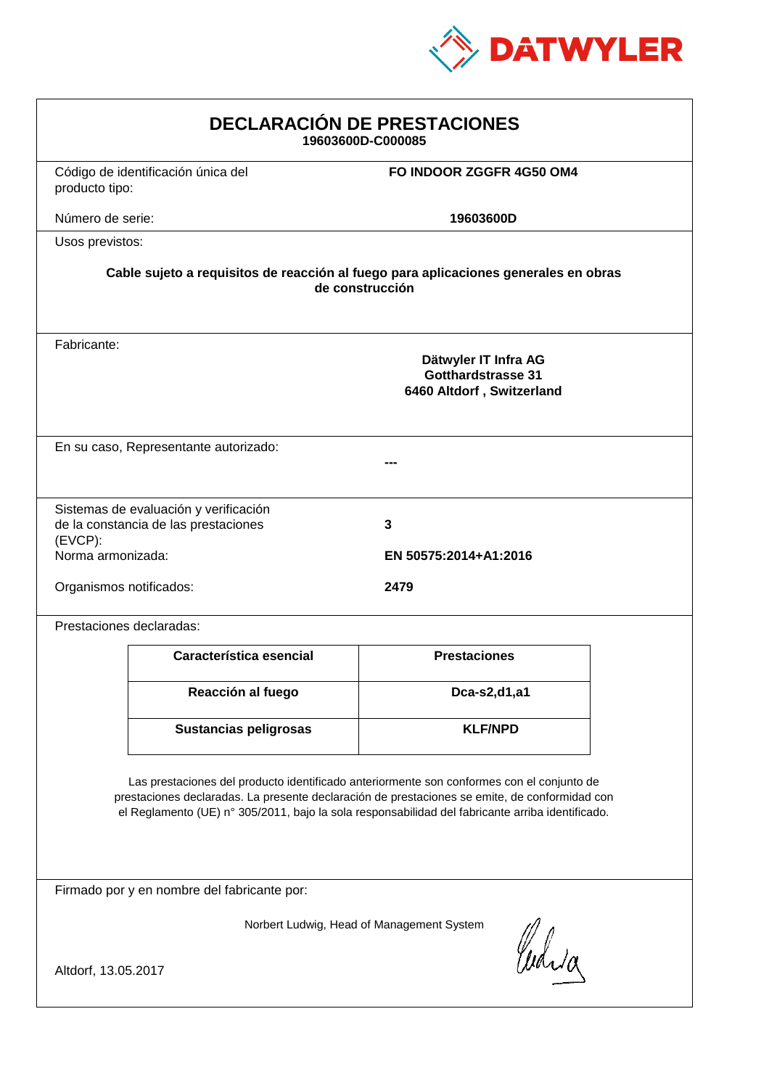

| <b>DECLARACIÓN DE PRESTACIONES</b><br>19603600D-C000085                                                                                                                                                                                                                                        |                                                                                |                            |  |  |
|------------------------------------------------------------------------------------------------------------------------------------------------------------------------------------------------------------------------------------------------------------------------------------------------|--------------------------------------------------------------------------------|----------------------------|--|--|
| producto tipo:                                                                                                                                                                                                                                                                                 | Código de identificación única del                                             | FO INDOOR ZGGFR 4G50 OM4   |  |  |
| Número de serie:                                                                                                                                                                                                                                                                               |                                                                                | 19603600D                  |  |  |
|                                                                                                                                                                                                                                                                                                | Usos previstos:                                                                |                            |  |  |
| Cable sujeto a requisitos de reacción al fuego para aplicaciones generales en obras<br>de construcción                                                                                                                                                                                         |                                                                                |                            |  |  |
| Fabricante:                                                                                                                                                                                                                                                                                    | Dätwyler IT Infra AG<br><b>Gotthardstrasse 31</b><br>6460 Altdorf, Switzerland |                            |  |  |
|                                                                                                                                                                                                                                                                                                | En su caso, Representante autorizado:                                          |                            |  |  |
| (EVCP):<br>Norma armonizada:                                                                                                                                                                                                                                                                   | Sistemas de evaluación y verificación<br>de la constancia de las prestaciones  | 3<br>EN 50575:2014+A1:2016 |  |  |
| Organismos notificados:<br>2479                                                                                                                                                                                                                                                                |                                                                                |                            |  |  |
|                                                                                                                                                                                                                                                                                                | Prestaciones declaradas:                                                       |                            |  |  |
|                                                                                                                                                                                                                                                                                                | Característica esencial                                                        | <b>Prestaciones</b>        |  |  |
|                                                                                                                                                                                                                                                                                                | Reacción al fuego                                                              | Dca-s2,d1,a1               |  |  |
|                                                                                                                                                                                                                                                                                                | <b>Sustancias peligrosas</b>                                                   | <b>KLF/NPD</b>             |  |  |
| Las prestaciones del producto identificado anteriormente son conformes con el conjunto de<br>prestaciones declaradas. La presente declaración de prestaciones se emite, de conformidad con<br>el Reglamento (UE) nº 305/2011, bajo la sola responsabilidad del fabricante arriba identificado. |                                                                                |                            |  |  |
| Firmado por y en nombre del fabricante por:                                                                                                                                                                                                                                                    |                                                                                |                            |  |  |
| Norbert Ludwig, Head of Management System<br>Curia                                                                                                                                                                                                                                             |                                                                                |                            |  |  |
| Altdorf, 13.05.2017                                                                                                                                                                                                                                                                            |                                                                                |                            |  |  |